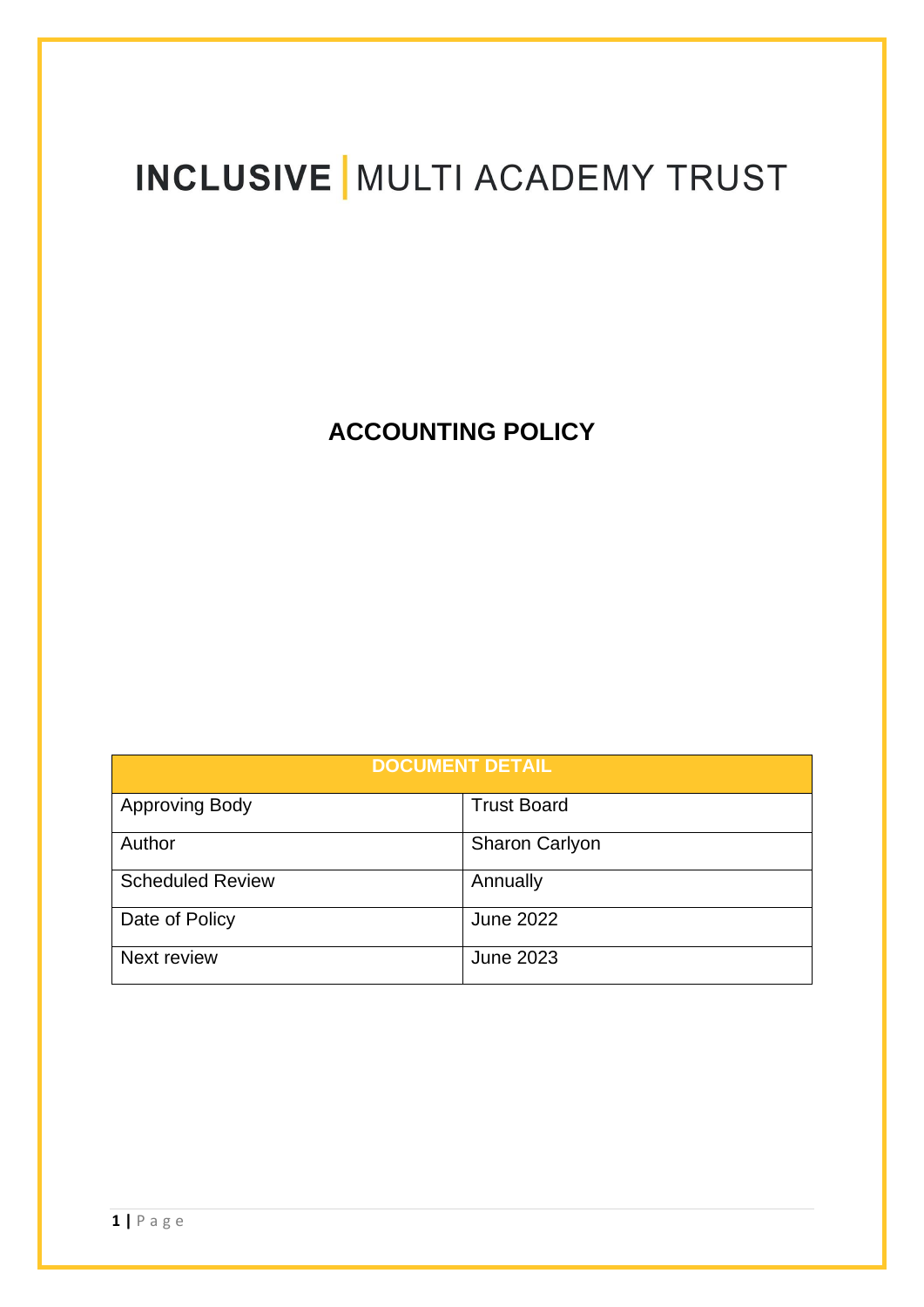# **INCLUSIVE | MULTI ACADEMY TRUST**

**ACCOUNTING POLICY** 

| <b>DOCUMENT DETAIL</b>  |                       |
|-------------------------|-----------------------|
| Approving Body          | <b>Trust Board</b>    |
| Author                  | <b>Sharon Carlyon</b> |
| <b>Scheduled Review</b> | Annually              |
| Date of Policy          | <b>June 2022</b>      |
| Next review             | <b>June 2023</b>      |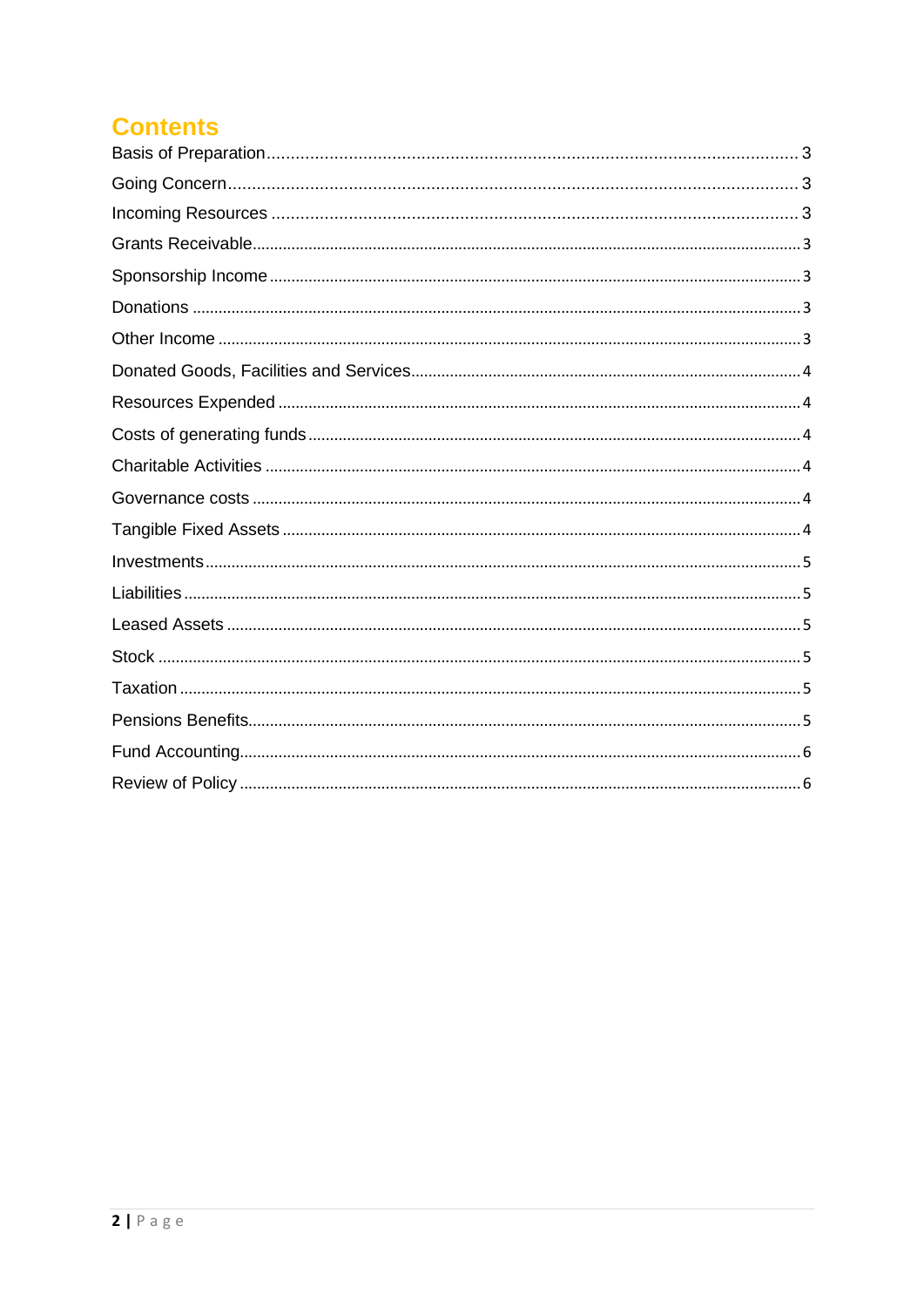# **Contents**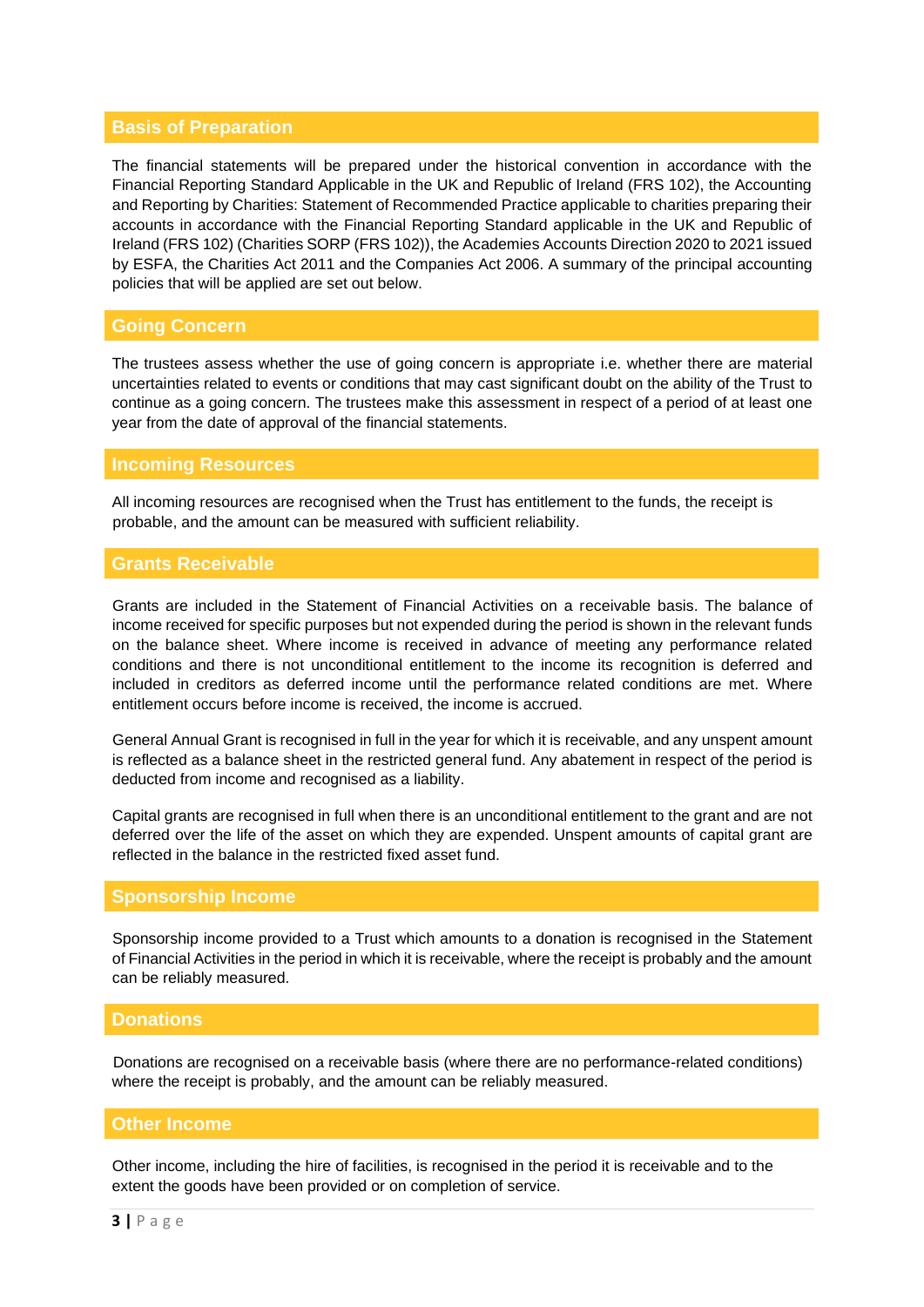# <span id="page-2-0"></span>**Basis of Preparation**

The financial statements will be prepared under the historical convention in accordance with the Financial Reporting Standard Applicable in the UK and Republic of Ireland (FRS 102), the Accounting and Reporting by Charities: Statement of Recommended Practice applicable to charities preparing their accounts in accordance with the Financial Reporting Standard applicable in the UK and Republic of Ireland (FRS 102) (Charities SORP (FRS 102)), the Academies Accounts Direction 2020 to 2021 issued by ESFA, the Charities Act 2011 and the Companies Act 2006. A summary of the principal accounting policies that will be applied are set out below.

# <span id="page-2-1"></span>**Going Concern**

The trustees assess whether the use of going concern is appropriate i.e. whether there are material uncertainties related to events or conditions that may cast significant doubt on the ability of the Trust to continue as a going concern. The trustees make this assessment in respect of a period of at least one year from the date of approval of the financial statements.

#### <span id="page-2-2"></span>**Incoming Resources**

All incoming resources are recognised when the Trust has entitlement to the funds, the receipt is probable, and the amount can be measured with sufficient reliability.

# <span id="page-2-3"></span>**Grants Receivable**

Grants are included in the Statement of Financial Activities on a receivable basis. The balance of income received for specific purposes but not expended during the period is shown in the relevant funds on the balance sheet. Where income is received in advance of meeting any performance related conditions and there is not unconditional entitlement to the income its recognition is deferred and included in creditors as deferred income until the performance related conditions are met. Where entitlement occurs before income is received, the income is accrued.

General Annual Grant is recognised in full in the year for which it is receivable, and any unspent amount is reflected as a balance sheet in the restricted general fund. Any abatement in respect of the period is deducted from income and recognised as a liability.

Capital grants are recognised in full when there is an unconditional entitlement to the grant and are not deferred over the life of the asset on which they are expended. Unspent amounts of capital grant are reflected in the balance in the restricted fixed asset fund.

#### <span id="page-2-4"></span>**Sponsorship Income**

Sponsorship income provided to a Trust which amounts to a donation is recognised in the Statement of Financial Activities in the period in which it is receivable, where the receipt is probably and the amount can be reliably measured.

# <span id="page-2-5"></span>**Donations**

Donations are recognised on a receivable basis (where there are no performance-related conditions) where the receipt is probably, and the amount can be reliably measured.

# <span id="page-2-6"></span>**Other Income**

Other income, including the hire of facilities, is recognised in the period it is receivable and to the extent the goods have been provided or on completion of service.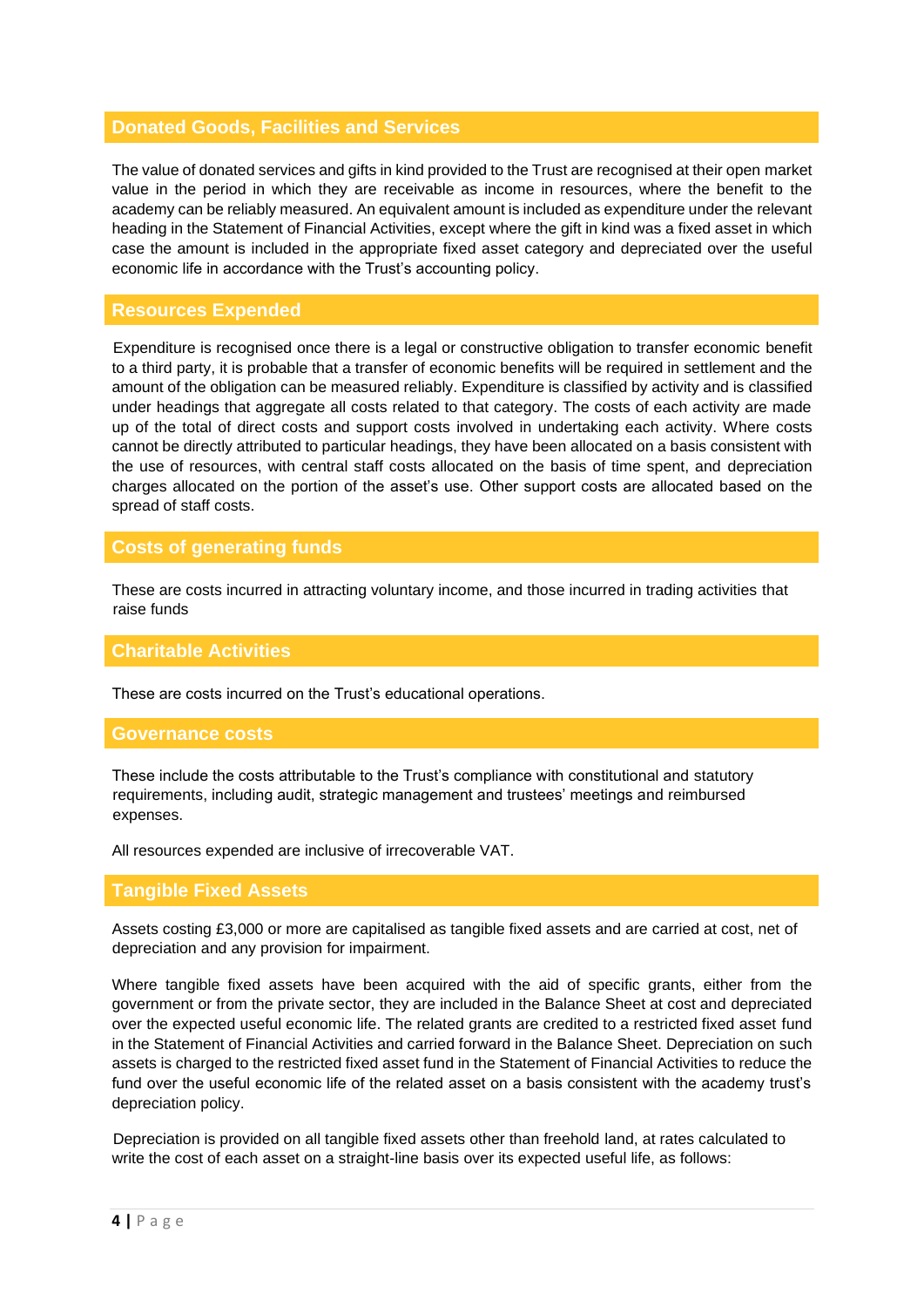# <span id="page-3-0"></span>**Donated Goods, Facilities and Services**

The value of donated services and gifts in kind provided to the Trust are recognised at their open market value in the period in which they are receivable as income in resources, where the benefit to the academy can be reliably measured. An equivalent amount is included as expenditure under the relevant heading in the Statement of Financial Activities, except where the gift in kind was a fixed asset in which case the amount is included in the appropriate fixed asset category and depreciated over the useful economic life in accordance with the Trust's accounting policy.

#### <span id="page-3-1"></span>**Resources Expended**

Expenditure is recognised once there is a legal or constructive obligation to transfer economic benefit to a third party, it is probable that a transfer of economic benefits will be required in settlement and the amount of the obligation can be measured reliably. Expenditure is classified by activity and is classified under headings that aggregate all costs related to that category. The costs of each activity are made up of the total of direct costs and support costs involved in undertaking each activity. Where costs cannot be directly attributed to particular headings, they have been allocated on a basis consistent with the use of resources, with central staff costs allocated on the basis of time spent, and depreciation charges allocated on the portion of the asset's use. Other support costs are allocated based on the spread of staff costs.

# <span id="page-3-2"></span>**Costs of generating funds**

These are costs incurred in attracting voluntary income, and those incurred in trading activities that raise funds

#### <span id="page-3-3"></span>**Charitable Activities**

These are costs incurred on the Trust's educational operations.

#### <span id="page-3-4"></span>**Governance costs**

These include the costs attributable to the Trust's compliance with constitutional and statutory requirements, including audit, strategic management and trustees' meetings and reimbursed expenses.

All resources expended are inclusive of irrecoverable VAT.

### <span id="page-3-5"></span>**Tangible Fixed Assets**

Assets costing £3,000 or more are capitalised as tangible fixed assets and are carried at cost, net of depreciation and any provision for impairment.

Where tangible fixed assets have been acquired with the aid of specific grants, either from the government or from the private sector, they are included in the Balance Sheet at cost and depreciated over the expected useful economic life. The related grants are credited to a restricted fixed asset fund in the Statement of Financial Activities and carried forward in the Balance Sheet. Depreciation on such assets is charged to the restricted fixed asset fund in the Statement of Financial Activities to reduce the fund over the useful economic life of the related asset on a basis consistent with the academy trust's depreciation policy.

Depreciation is provided on all tangible fixed assets other than freehold land, at rates calculated to write the cost of each asset on a straight-line basis over its expected useful life, as follows: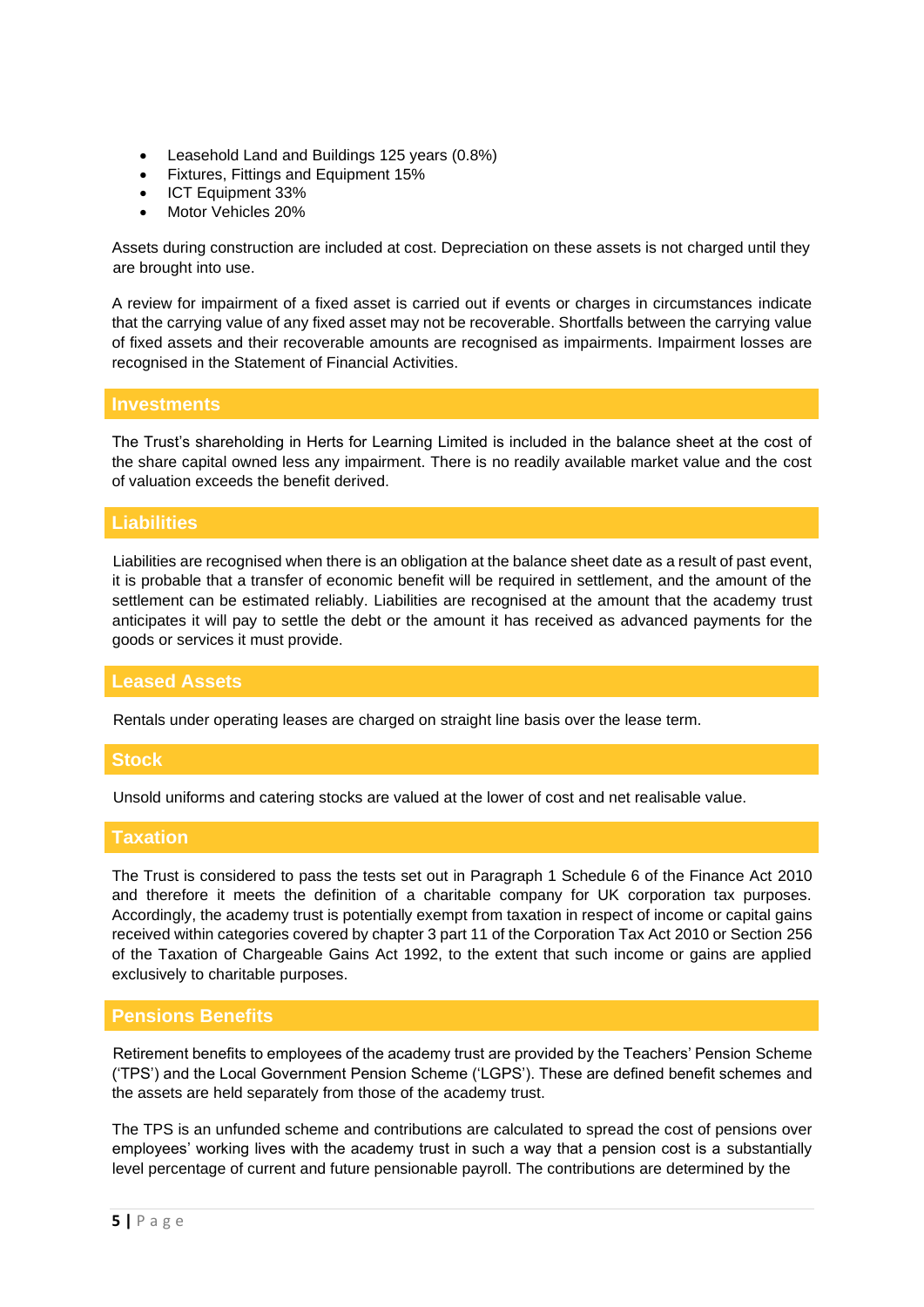- Leasehold Land and Buildings 125 years (0.8%)
- Fixtures, Fittings and Equipment 15%
- ICT Equipment 33%
- Motor Vehicles 20%

Assets during construction are included at cost. Depreciation on these assets is not charged until they are brought into use.

A review for impairment of a fixed asset is carried out if events or charges in circumstances indicate that the carrying value of any fixed asset may not be recoverable. Shortfalls between the carrying value of fixed assets and their recoverable amounts are recognised as impairments. Impairment losses are recognised in the Statement of Financial Activities.

#### <span id="page-4-0"></span>**Investments**

The Trust's shareholding in Herts for Learning Limited is included in the balance sheet at the cost of the share capital owned less any impairment. There is no readily available market value and the cost of valuation exceeds the benefit derived.

# <span id="page-4-1"></span>**Liabilities**

Liabilities are recognised when there is an obligation at the balance sheet date as a result of past event, it is probable that a transfer of economic benefit will be required in settlement, and the amount of the settlement can be estimated reliably. Liabilities are recognised at the amount that the academy trust anticipates it will pay to settle the debt or the amount it has received as advanced payments for the goods or services it must provide.

#### <span id="page-4-2"></span>**Leased Assets**

Rentals under operating leases are charged on straight line basis over the lease term.

#### <span id="page-4-3"></span>**Stock**

Unsold uniforms and catering stocks are valued at the lower of cost and net realisable value.

# <span id="page-4-4"></span>**Taxation**

The Trust is considered to pass the tests set out in Paragraph 1 Schedule 6 of the Finance Act 2010 and therefore it meets the definition of a charitable company for UK corporation tax purposes. Accordingly, the academy trust is potentially exempt from taxation in respect of income or capital gains received within categories covered by chapter 3 part 11 of the Corporation Tax Act 2010 or Section 256 of the Taxation of Chargeable Gains Act 1992, to the extent that such income or gains are applied exclusively to charitable purposes.

#### <span id="page-4-5"></span>**Pensions Benefits**

Retirement benefits to employees of the academy trust are provided by the Teachers' Pension Scheme ('TPS') and the Local Government Pension Scheme ('LGPS'). These are defined benefit schemes and the assets are held separately from those of the academy trust.

The TPS is an unfunded scheme and contributions are calculated to spread the cost of pensions over employees' working lives with the academy trust in such a way that a pension cost is a substantially level percentage of current and future pensionable payroll. The contributions are determined by the